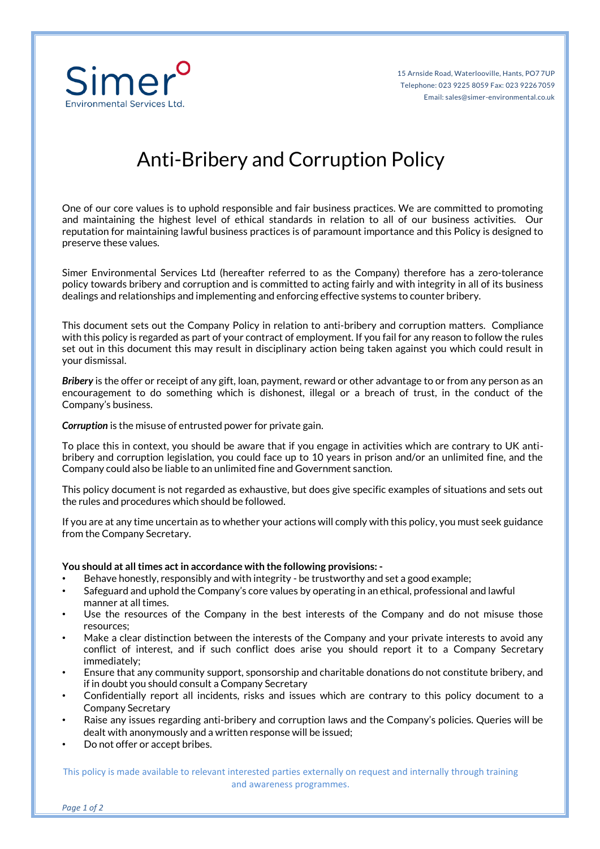

## Anti-Bribery and Corruption Policy

One of our core values is to uphold responsible and fair business practices. We are committed to promoting and maintaining the highest level of ethical standards in relation to all of our business activities. Our reputation for maintaining lawful business practices is of paramount importance and this Policy is designed to preserve these values.

Simer Environmental Services Ltd (hereafter referred to as the Company) therefore has a zero-tolerance policy towards bribery and corruption and is committed to acting fairly and with integrity in all of its business dealings and relationships and implementing and enforcing effective systems to counter bribery.

This document sets out the Company Policy in relation to anti-bribery and corruption matters. Compliance with this policy is regarded as part of your contract of employment. If you fail for any reason to follow the rules set out in this document this may result in disciplinary action being taken against you which could result in your dismissal.

*Bribery* is the offer or receipt of any gift, loan, payment, reward or other advantage to or from any person as an encouragement to do something which is dishonest, illegal or a breach of trust, in the conduct of the Company's business.

**Corruption** is the misuse of entrusted power for private gain.

To place this in context, you should be aware that if you engage in activities which are contrary to UK antibribery and corruption legislation, you could face up to 10 years in prison and/or an unlimited fine, and the Company could also be liable to an unlimited fine and Government sanction.

This policy document is not regarded as exhaustive, but does give specific examples of situations and sets out the rules and procedures which should be followed.

If you are at any time uncertain as to whether your actions will comply with this policy, you must seek guidance from the Company Secretary.

## **You should at all times act in accordance with the following provisions: -**

- Behave honestly, responsibly and with integrity be trustworthy and set a good example;
- Safeguard and uphold the Company's core values by operating in an ethical, professional and lawful manner at all times.
- Use the resources of the Company in the best interests of the Company and do not misuse those resources;
- Make a clear distinction between the interests of the Company and your private interests to avoid any conflict of interest, and if such conflict does arise you should report it to a Company Secretary immediately;
- Ensure that any community support, sponsorship and charitable donations do not constitute bribery, and if in doubt you should consult a Company Secretary
- Confidentially report all incidents, risks and issues which are contrary to this policy document to a Company Secretary
- Raise any issues regarding anti-bribery and corruption laws and the Company's policies. Queries will be dealt with anonymously and a written response will be issued;
- Do not offer or accept bribes.

This policy is made available to relevant interested parties externally on request and internally through training and awareness programmes.